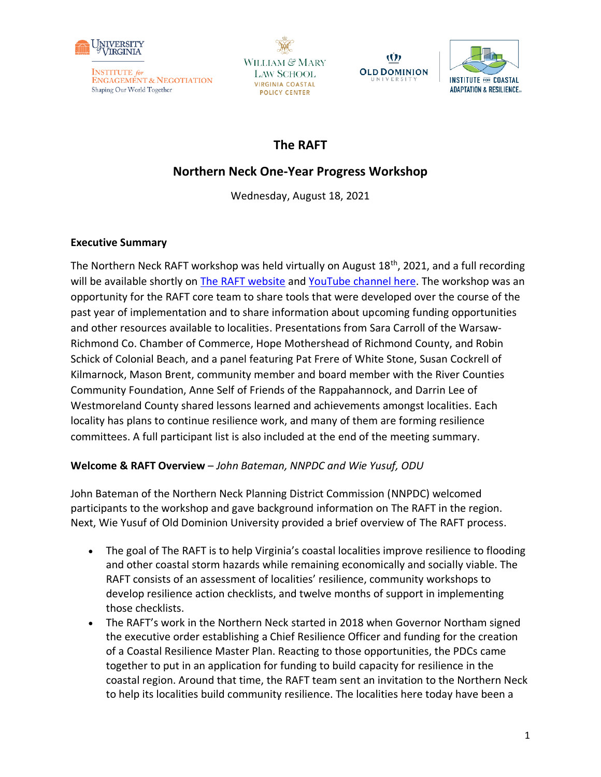

WILLIAM & MARY **LAW SCHOOL VIRGINIA COASTAL POLICY CENTER** 





# **The RAFT**

# **Northern Neck One-Year Progress Workshop**

Wednesday, August 18, 2021

# **Executive Summary**

The Northern Neck RAFT workshop was held virtually on August  $18<sup>th</sup>$ , 2021, and a full recording will be available shortly on [The RAFT website](https://raft.ien.virginia.edu/raft-resilience-resources) and [YouTube channel here.](https://www.youtube.com/playlist?list=PLX1zjRLo43yq6L4DU8J2nuyi2jv4x-wNm) The workshop was an opportunity for the RAFT core team to share tools that were developed over the course of the past year of implementation and to share information about upcoming funding opportunities and other resources available to localities. Presentations from Sara Carroll of the Warsaw-Richmond Co. Chamber of Commerce, Hope Mothershead of Richmond County, and Robin Schick of Colonial Beach, and a panel featuring Pat Frere of White Stone, Susan Cockrell of Kilmarnock, Mason Brent, community member and board member with the River Counties Community Foundation, Anne Self of Friends of the Rappahannock, and Darrin Lee of Westmoreland County shared lessons learned and achievements amongst localities. Each locality has plans to continue resilience work, and many of them are forming resilience committees. A full participant list is also included at the end of the meeting summary.

# **Welcome & RAFT Overview** – *John Bateman, NNPDC and Wie Yusuf, ODU*

John Bateman of the Northern Neck Planning District Commission (NNPDC) welcomed participants to the workshop and gave background information on The RAFT in the region. Next, Wie Yusuf of Old Dominion University provided a brief overview of The RAFT process.

- The goal of The RAFT is to help Virginia's coastal localities improve resilience to flooding and other coastal storm hazards while remaining economically and socially viable. The RAFT consists of an assessment of localities' resilience, community workshops to develop resilience action checklists, and twelve months of support in implementing those checklists.
- The RAFT's work in the Northern Neck started in 2018 when Governor Northam signed the executive order establishing a Chief Resilience Officer and funding for the creation of a Coastal Resilience Master Plan. Reacting to those opportunities, the PDCs came together to put in an application for funding to build capacity for resilience in the coastal region. Around that time, the RAFT team sent an invitation to the Northern Neck to help its localities build community resilience. The localities here today have been a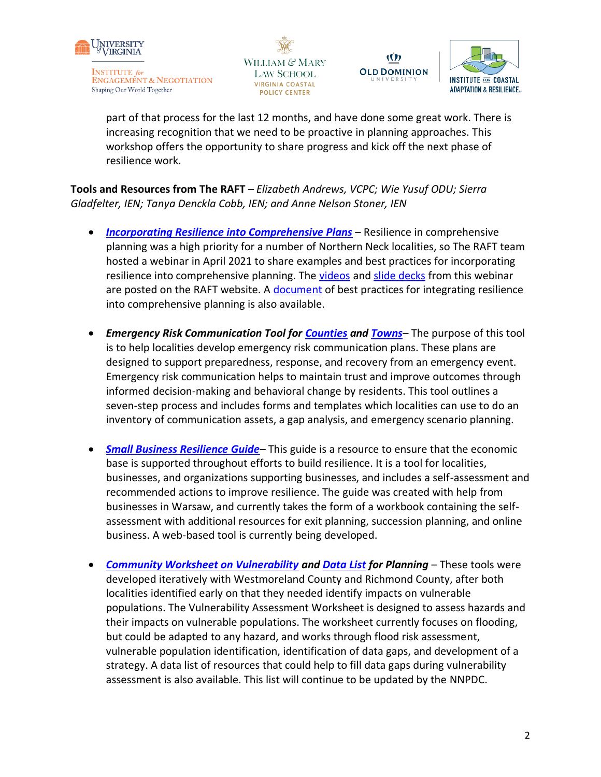

**ENGAGEMENT & NEGOTIATION** Shaping Our World Together

WILLIAM & MARY **LAW SCHOOL VIRGINIA COASTAL POLICY CENTER** 



Ŵ

part of that process for the last 12 months, and have done some great work. There is increasing recognition that we need to be proactive in planning approaches. This workshop offers the opportunity to share progress and kick off the next phase of resilience work.

**Tools and Resources from The RAFT** – *Elizabeth Andrews, VCPC; Wie Yusuf ODU; Sierra Gladfelter, IEN; Tanya Denckla Cobb, IEN; and Anne Nelson Stoner, IEN*

- *[Incorporating Resilience into Comprehensive Plans](https://raft.ien.virginia.edu/raft-resilience-research-policy-products)* Resilience in comprehensive planning was a high priority for a number of Northern Neck localities, so The RAFT team hosted a webinar in April 2021 to share examples and best practices for incorporating resilience into comprehensive planning. The [videos](https://www.youtube.com/playlist?list=PLX1zjRLo43yq6L4DU8J2nuyi2jv4x-wNm) and [slide decks](https://raft.ien.virginia.edu/system/files/Portsmouth_Comp_Plan_Workshop_23%20Apr%202021.pdf) from this webinar are posted on the RAFT website. A [document](https://raft.ien.virginia.edu/system/files/Comprehensive%20Plan%20Comparison%20Chart.pdf) of best practices for integrating resilience into comprehensive planning is also available.
- *Emergency Risk Communication Tool for [Counties](https://raft.ien.virginia.edu/system/files/County%20ERC%20Planning%281%29.pdf) and [Towns](https://raft.ien.virginia.edu/system/files/Town%20ERC%20Planning%282%29.pdf)* The purpose of this tool is to help localities develop emergency risk communication plans. These plans are designed to support preparedness, response, and recovery from an emergency event. Emergency risk communication helps to maintain trust and improve outcomes through informed decision-making and behavioral change by residents. This tool outlines a seven-step process and includes forms and templates which localities can use to do an inventory of communication assets, a gap analysis, and emergency scenario planning.
- *[Small Business Resilience Guide](https://www.floodingresiliency.org/coastal-virginia-small-business-resilience-self-assessment-and-guide/)* This guide is a resource to ensure that the economic base is supported throughout efforts to build resilience. It is a tool for localities, businesses, and organizations supporting businesses, and includes a self-assessment and recommended actions to improve resilience. The guide was created with help from businesses in Warsaw, and currently takes the form of a workbook containing the selfassessment with additional resources for exit planning, succession planning, and online business. A web-based tool is currently being developed.
- *[Community Worksheet on Vulnerability](https://raft.ien.virginia.edu/system/files/Exercise%20Contextualizing%20Natural%20Hazards%20and%20Impacts%20on%20Vulnerable%20Populations_Final.pdf) and [Data List](https://raft.ien.virginia.edu/system/files/Data%20for%20Vulnerability%20Mapping.pdf) for Planning –* These tools were developed iteratively with Westmoreland County and Richmond County, after both localities identified early on that they needed identify impacts on vulnerable populations. The Vulnerability Assessment Worksheet is designed to assess hazards and their impacts on vulnerable populations. The worksheet currently focuses on flooding, but could be adapted to any hazard, and works through flood risk assessment, vulnerable population identification, identification of data gaps, and development of a strategy. A data list of resources that could help to fill data gaps during vulnerability assessment is also available. This list will continue to be updated by the NNPDC.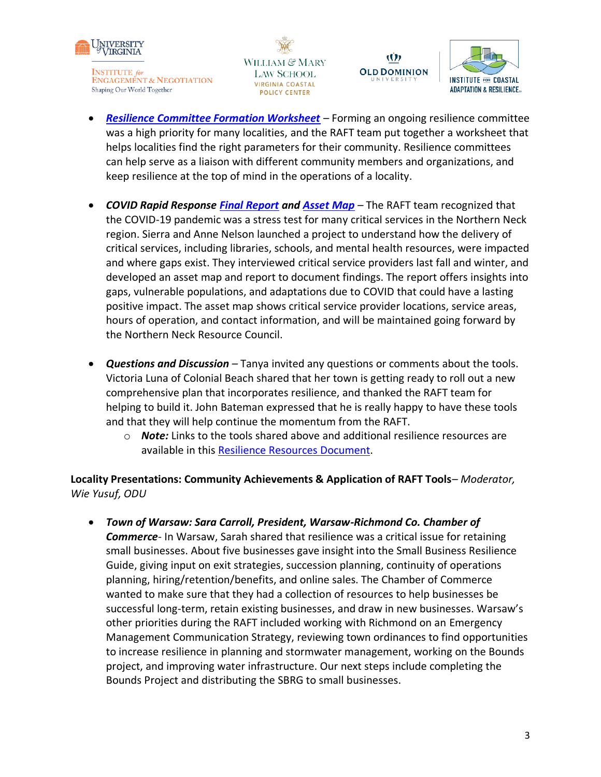

WILLIAM & MARY **LAW SCHOOL VIRGINIA COASTAL POLICY CENTER** 



Ŵ

- *[Resilience Committee Formation Worksheet](https://raft.ien.virginia.edu/system/files/Resilience%20Committee%20Brainstorming%20Worksheet_FINAL.pdf) –* Forming an ongoing resilience committee was a high priority for many localities, and the RAFT team put together a worksheet that helps localities find the right parameters for their community. Resilience committees can help serve as a liaison with different community members and organizations, and keep resilience at the top of mind in the operations of a locality.
- *COVID Rapid Response [Final Report](https://raft.ien.virginia.edu/system/files/The%20Impacts%20of%20COVID-19%20on%20Service%20Delivery%20in%20the%20Northern%20Neck_%20Barriers%2C%20Lessons%2C%20and%20Opportunities%20for%20Increased%20Resilience_August%202021.pdf) and [Asset Map](https://www.google.com/maps/d/u/0/edit?mid=1bWAgIdMWQ_Q6HBg_HeJ1Kc4EoNzild56&usp=sharing) –* The RAFT team recognized that the COVID-19 pandemic was a stress test for many critical services in the Northern Neck region. Sierra and Anne Nelson launched a project to understand how the delivery of critical services, including libraries, schools, and mental health resources, were impacted and where gaps exist. They interviewed critical service providers last fall and winter, and developed an asset map and report to document findings. The report offers insights into gaps, vulnerable populations, and adaptations due to COVID that could have a lasting positive impact. The asset map shows critical service provider locations, service areas, hours of operation, and contact information, and will be maintained going forward by the Northern Neck Resource Council.
- *Questions and Discussion –* Tanya invited any questions or comments about the tools. Victoria Luna of Colonial Beach shared that her town is getting ready to roll out a new comprehensive plan that incorporates resilience, and thanked the RAFT team for helping to build it. John Bateman expressed that he is really happy to have these tools and that they will help continue the momentum from the RAFT.
	- o *Note:* Links to the tools shared above and additional resilience resources are available in this [Resilience Resources Document.](https://drive.google.com/file/d/1SjUXKH7yimbItdvEe9w_5s_Kaq6b24Uh/view?usp=sharing)

**Locality Presentations: Community Achievements & Application of RAFT Tools**– *Moderator, Wie Yusuf, ODU*

• *Town of Warsaw: Sara Carroll, President, Warsaw-Richmond Co. Chamber of Commerce-* In Warsaw, Sarah shared that resilience was a critical issue for retaining small businesses. About five businesses gave insight into the Small Business Resilience Guide, giving input on exit strategies, succession planning, continuity of operations planning, hiring/retention/benefits, and online sales. The Chamber of Commerce wanted to make sure that they had a collection of resources to help businesses be successful long-term, retain existing businesses, and draw in new businesses. Warsaw's other priorities during the RAFT included working with Richmond on an Emergency Management Communication Strategy, reviewing town ordinances to find opportunities to increase resilience in planning and stormwater management, working on the Bounds project, and improving water infrastructure. Our next steps include completing the Bounds Project and distributing the SBRG to small businesses.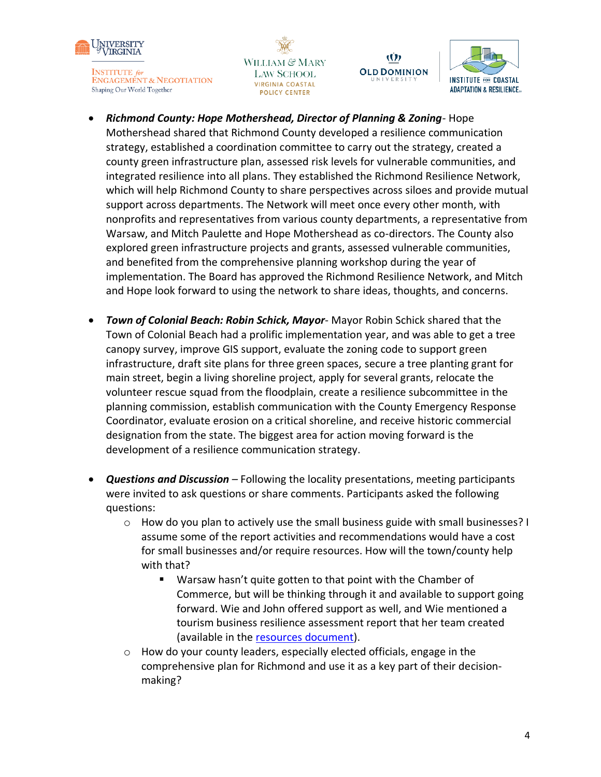

WILLIAM & MARY **LAW SCHOOL VIRGINIA COASTAL POLICY CENTER** 



Ŵ

**OLD DOMINION** 

- *Richmond County: Hope Mothershead, Director of Planning & Zoning-* Hope Mothershead shared that Richmond County developed a resilience communication strategy, established a coordination committee to carry out the strategy, created a county green infrastructure plan, assessed risk levels for vulnerable communities, and integrated resilience into all plans. They established the Richmond Resilience Network, which will help Richmond County to share perspectives across siloes and provide mutual support across departments. The Network will meet once every other month, with nonprofits and representatives from various county departments, a representative from Warsaw, and Mitch Paulette and Hope Mothershead as co-directors. The County also explored green infrastructure projects and grants, assessed vulnerable communities, and benefited from the comprehensive planning workshop during the year of implementation. The Board has approved the Richmond Resilience Network, and Mitch and Hope look forward to using the network to share ideas, thoughts, and concerns.
- *Town of Colonial Beach: Robin Schick, Mayor-* Mayor Robin Schick shared that the Town of Colonial Beach had a prolific implementation year, and was able to get a tree canopy survey, improve GIS support, evaluate the zoning code to support green infrastructure, draft site plans for three green spaces, secure a tree planting grant for main street, begin a living shoreline project, apply for several grants, relocate the volunteer rescue squad from the floodplain, create a resilience subcommittee in the planning commission, establish communication with the County Emergency Response Coordinator, evaluate erosion on a critical shoreline, and receive historic commercial designation from the state. The biggest area for action moving forward is the development of a resilience communication strategy.
- *Questions and Discussion –* Following the locality presentations, meeting participants were invited to ask questions or share comments. Participants asked the following questions:
	- $\circ$  How do you plan to actively use the small business guide with small businesses? I assume some of the report activities and recommendations would have a cost for small businesses and/or require resources. How will the town/county help with that?
		- Warsaw hasn't quite gotten to that point with the Chamber of Commerce, but will be thinking through it and available to support going forward. Wie and John offered support as well, and Wie mentioned a tourism business resilience assessment report that her team created (available in the [resources document\)](https://drive.google.com/file/d/1SjUXKH7yimbItdvEe9w_5s_Kaq6b24Uh/view?usp=sharing).
	- $\circ$  How do your county leaders, especially elected officials, engage in the comprehensive plan for Richmond and use it as a key part of their decisionmaking?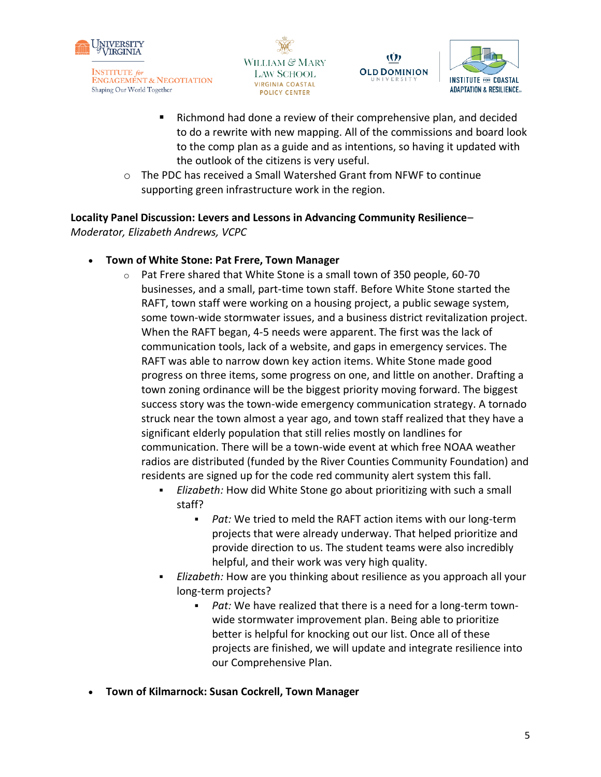





Richmond had done a review of their comprehensive plan, and decided to do a rewrite with new mapping. All of the commissions and board look to the comp plan as a guide and as intentions, so having it updated with the outlook of the citizens is very useful.

Ŵ

o The PDC has received a Small Watershed Grant from NFWF to continue supporting green infrastructure work in the region.

### **Locality Panel Discussion: Levers and Lessons in Advancing Community Resilience**–

*Moderator, Elizabeth Andrews, VCPC*

- **Town of White Stone: Pat Frere, Town Manager**
	- o Pat Frere shared that White Stone is a small town of 350 people, 60-70 businesses, and a small, part-time town staff. Before White Stone started the RAFT, town staff were working on a housing project, a public sewage system, some town-wide stormwater issues, and a business district revitalization project. When the RAFT began, 4-5 needs were apparent. The first was the lack of communication tools, lack of a website, and gaps in emergency services. The RAFT was able to narrow down key action items. White Stone made good progress on three items, some progress on one, and little on another. Drafting a town zoning ordinance will be the biggest priority moving forward. The biggest success story was the town-wide emergency communication strategy. A tornado struck near the town almost a year ago, and town staff realized that they have a significant elderly population that still relies mostly on landlines for communication. There will be a town-wide event at which free NOAA weather radios are distributed (funded by the River Counties Community Foundation) and residents are signed up for the code red community alert system this fall.
		- Elizabeth: How did White Stone go about prioritizing with such a small staff?
			- *Pat:* We tried to meld the RAFT action items with our long-term projects that were already underway. That helped prioritize and provide direction to us. The student teams were also incredibly helpful, and their work was very high quality.
		- Elizabeth: How are you thinking about resilience as you approach all your long-term projects?
			- Pat: We have realized that there is a need for a long-term townwide stormwater improvement plan. Being able to prioritize better is helpful for knocking out our list. Once all of these projects are finished, we will update and integrate resilience into our Comprehensive Plan.
- **Town of Kilmarnock: Susan Cockrell, Town Manager**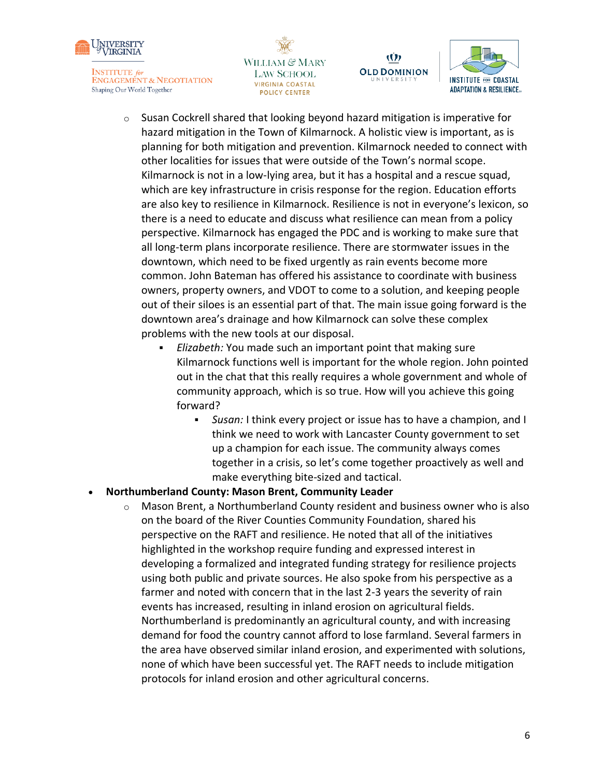





Ŵ

**OLD DOMINION** 

- o Susan Cockrell shared that looking beyond hazard mitigation is imperative for hazard mitigation in the Town of Kilmarnock. A holistic view is important, as is planning for both mitigation and prevention. Kilmarnock needed to connect with other localities for issues that were outside of the Town's normal scope. Kilmarnock is not in a low-lying area, but it has a hospital and a rescue squad, which are key infrastructure in crisis response for the region. Education efforts are also key to resilience in Kilmarnock. Resilience is not in everyone's lexicon, so there is a need to educate and discuss what resilience can mean from a policy perspective. Kilmarnock has engaged the PDC and is working to make sure that all long-term plans incorporate resilience. There are stormwater issues in the downtown, which need to be fixed urgently as rain events become more common. John Bateman has offered his assistance to coordinate with business owners, property owners, and VDOT to come to a solution, and keeping people out of their siloes is an essential part of that. The main issue going forward is the downtown area's drainage and how Kilmarnock can solve these complex problems with the new tools at our disposal.
	- *Elizabeth:* You made such an important point that making sure Kilmarnock functions well is important for the whole region. John pointed out in the chat that this really requires a whole government and whole of community approach, which is so true. How will you achieve this going forward?
		- *Susan:* I think every project or issue has to have a champion, and I think we need to work with Lancaster County government to set up a champion for each issue. The community always comes together in a crisis, so let's come together proactively as well and make everything bite-sized and tactical.

#### • **Northumberland County: Mason Brent, Community Leader**

 $\circ$  Mason Brent, a Northumberland County resident and business owner who is also on the board of the River Counties Community Foundation, shared his perspective on the RAFT and resilience. He noted that all of the initiatives highlighted in the workshop require funding and expressed interest in developing a formalized and integrated funding strategy for resilience projects using both public and private sources. He also spoke from his perspective as a farmer and noted with concern that in the last 2-3 years the severity of rain events has increased, resulting in inland erosion on agricultural fields. Northumberland is predominantly an agricultural county, and with increasing demand for food the country cannot afford to lose farmland. Several farmers in the area have observed similar inland erosion, and experimented with solutions, none of which have been successful yet. The RAFT needs to include mitigation protocols for inland erosion and other agricultural concerns.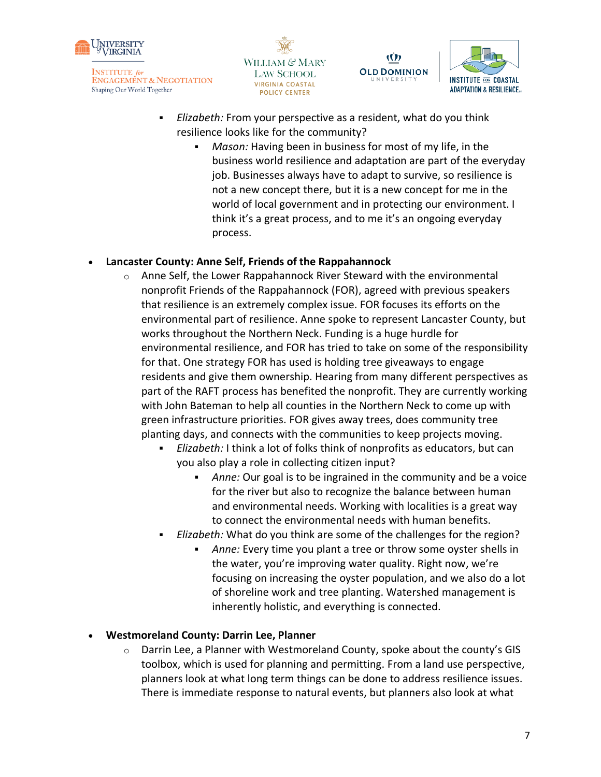





- Elizabeth: From your perspective as a resident, what do you think resilience looks like for the community?
	- *Mason:* Having been in business for most of my life, in the business world resilience and adaptation are part of the everyday job. Businesses always have to adapt to survive, so resilience is not a new concept there, but it is a new concept for me in the world of local government and in protecting our environment. I think it's a great process, and to me it's an ongoing everyday process.

### • **Lancaster County: Anne Self, Friends of the Rappahannock**

- $\circ$  Anne Self, the Lower Rappahannock River Steward with the environmental nonprofit Friends of the Rappahannock (FOR), agreed with previous speakers that resilience is an extremely complex issue. FOR focuses its efforts on the environmental part of resilience. Anne spoke to represent Lancaster County, but works throughout the Northern Neck. Funding is a huge hurdle for environmental resilience, and FOR has tried to take on some of the responsibility for that. One strategy FOR has used is holding tree giveaways to engage residents and give them ownership. Hearing from many different perspectives as part of the RAFT process has benefited the nonprofit. They are currently working with John Bateman to help all counties in the Northern Neck to come up with green infrastructure priorities. FOR gives away trees, does community tree planting days, and connects with the communities to keep projects moving.
	- Elizabeth: I think a lot of folks think of nonprofits as educators, but can you also play a role in collecting citizen input?
		- Anne: Our goal is to be ingrained in the community and be a voice for the river but also to recognize the balance between human and environmental needs. Working with localities is a great way to connect the environmental needs with human benefits.
	- Elizabeth: What do you think are some of the challenges for the region?
		- Anne: Every time you plant a tree or throw some oyster shells in the water, you're improving water quality. Right now, we're focusing on increasing the oyster population, and we also do a lot of shoreline work and tree planting. Watershed management is inherently holistic, and everything is connected.

• **Westmoreland County: Darrin Lee, Planner**

 $\circ$  Darrin Lee, a Planner with Westmoreland County, spoke about the county's GIS toolbox, which is used for planning and permitting. From a land use perspective, planners look at what long term things can be done to address resilience issues. There is immediate response to natural events, but planners also look at what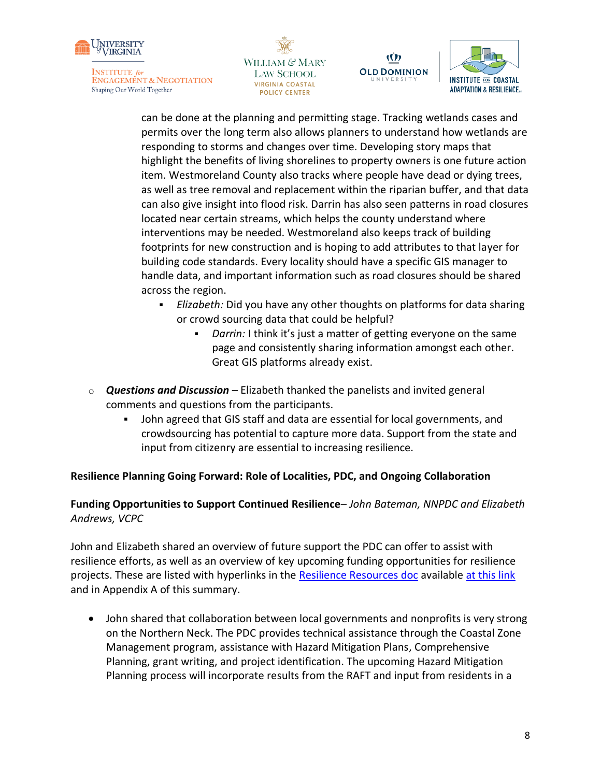





Ŵ

can be done at the planning and permitting stage. Tracking wetlands cases and permits over the long term also allows planners to understand how wetlands are responding to storms and changes over time. Developing story maps that highlight the benefits of living shorelines to property owners is one future action item. Westmoreland County also tracks where people have dead or dying trees, as well as tree removal and replacement within the riparian buffer, and that data can also give insight into flood risk. Darrin has also seen patterns in road closures located near certain streams, which helps the county understand where interventions may be needed. Westmoreland also keeps track of building footprints for new construction and is hoping to add attributes to that layer for building code standards. Every locality should have a specific GIS manager to handle data, and important information such as road closures should be shared across the region.

- Elizabeth: Did you have any other thoughts on platforms for data sharing or crowd sourcing data that could be helpful?
	- *Darrin:* I think it's just a matter of getting everyone on the same page and consistently sharing information amongst each other. Great GIS platforms already exist.
- o *Questions and Discussion –* Elizabeth thanked the panelists and invited general comments and questions from the participants.
	- John agreed that GIS staff and data are essential for local governments, and crowdsourcing has potential to capture more data. Support from the state and input from citizenry are essential to increasing resilience.

#### **Resilience Planning Going Forward: Role of Localities, PDC, and Ongoing Collaboration**

**Funding Opportunities to Support Continued Resilience**– *John Bateman, NNPDC and Elizabeth Andrews, VCPC*

John and Elizabeth shared an overview of future support the PDC can offer to assist with resilience efforts, as well as an overview of key upcoming funding opportunities for resilience projects. These are listed with hyperlinks in the [Resilience Resources doc](https://drive.google.com/file/d/1SjUXKH7yimbItdvEe9w_5s_Kaq6b24Uh/view?usp=sharing) available [at this link](https://drive.google.com/file/d/1SjUXKH7yimbItdvEe9w_5s_Kaq6b24Uh/view?usp=sharing) and in Appendix A of this summary.

• John shared that collaboration between local governments and nonprofits is very strong on the Northern Neck. The PDC provides technical assistance through the Coastal Zone Management program, assistance with Hazard Mitigation Plans, Comprehensive Planning, grant writing, and project identification. The upcoming Hazard Mitigation Planning process will incorporate results from the RAFT and input from residents in a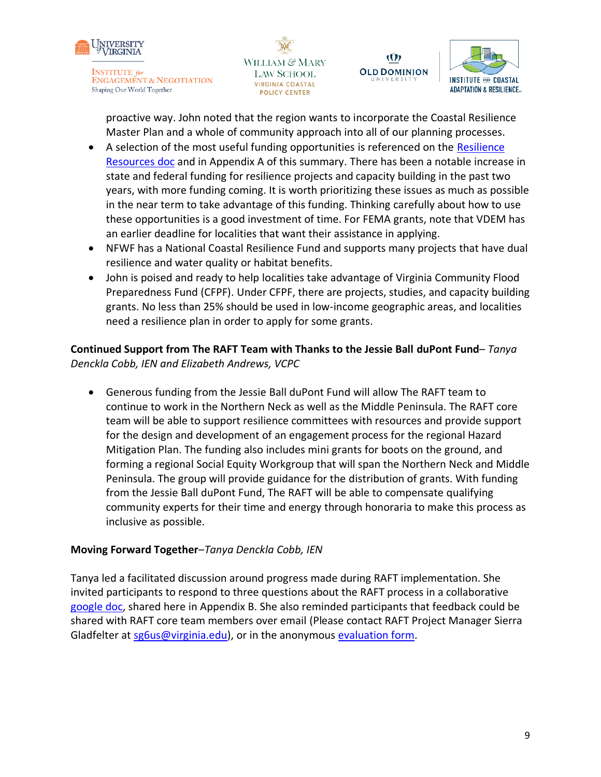







proactive way. John noted that the region wants to incorporate the Coastal Resilience Master Plan and a whole of community approach into all of our planning processes.

- A selection of the most useful funding opportunities is referenced on the Resilience [Resources doc](https://drive.google.com/file/d/1SjUXKH7yimbItdvEe9w_5s_Kaq6b24Uh/view?usp=sharing) and in Appendix A of this summary. There has been a notable increase in state and federal funding for resilience projects and capacity building in the past two years, with more funding coming. It is worth prioritizing these issues as much as possible in the near term to take advantage of this funding. Thinking carefully about how to use these opportunities is a good investment of time. For FEMA grants, note that VDEM has an earlier deadline for localities that want their assistance in applying.
- NFWF has a National Coastal Resilience Fund and supports many projects that have dual resilience and water quality or habitat benefits.
- John is poised and ready to help localities take advantage of Virginia Community Flood Preparedness Fund (CFPF). Under CFPF, there are projects, studies, and capacity building grants. No less than 25% should be used in low-income geographic areas, and localities need a resilience plan in order to apply for some grants.

**Continued Support from The RAFT Team with Thanks to the Jessie Ball duPont Fund**– *Tanya Denckla Cobb, IEN and Elizabeth Andrews, VCPC*

• Generous funding from the Jessie Ball duPont Fund will allow The RAFT team to continue to work in the Northern Neck as well as the Middle Peninsula. The RAFT core team will be able to support resilience committees with resources and provide support for the design and development of an engagement process for the regional Hazard Mitigation Plan. The funding also includes mini grants for boots on the ground, and forming a regional Social Equity Workgroup that will span the Northern Neck and Middle Peninsula. The group will provide guidance for the distribution of grants. With funding from the Jessie Ball duPont Fund, The RAFT will be able to compensate qualifying community experts for their time and energy through honoraria to make this process as inclusive as possible.

# **Moving Forward Together**–*Tanya Denckla Cobb, IEN*

Tanya led a facilitated discussion around progress made during RAFT implementation. She invited participants to respond to three questions about the RAFT process in a collaborative [google doc,](https://docs.google.com/document/d/1liny7EobRmxV2Ph5RY6vCxasd8rmBA-vjmoJYK2TLNU/edit?usp=sharing) shared here in Appendix B. She also reminded participants that feedback could be shared with RAFT core team members over email (Please contact RAFT Project Manager Sierra Gladfelter at [sg6us@virginia.edu\)](mailto:sg6us@virginia.edu), or in the anonymous [evaluation form.](https://docs.google.com/forms/d/e/1FAIpQLScuqRR85KvHpOInS80p_wXKK5pNp2VuQNmbejPq8Q1FEuyNWg/viewform)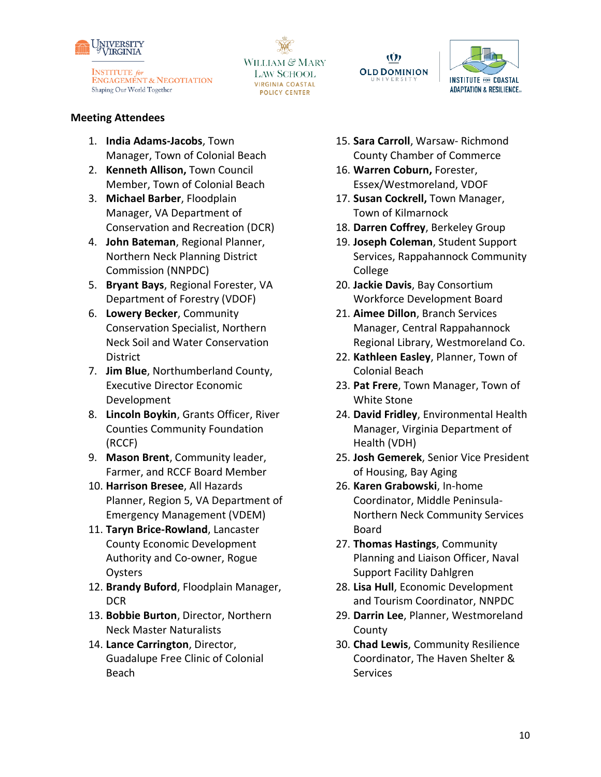







#### **Meeting Attendees**

- 1. **India Adams-Jacobs**, Town Manager, Town of Colonial Beach
- 2. **Kenneth Allison,** Town Council Member, Town of Colonial Beach
- 3. **Michael Barber**, Floodplain Manager, VA Department of Conservation and Recreation (DCR)
- 4. **John Bateman**, Regional Planner, Northern Neck Planning District Commission (NNPDC)
- 5. **Bryant Bays**, Regional Forester, VA Department of Forestry (VDOF)
- 6. **Lowery Becker**, Community Conservation Specialist, Northern Neck Soil and Water Conservation District
- 7. **Jim Blue**, Northumberland County, Executive Director Economic Development
- 8. **Lincoln Boykin**, Grants Officer, River Counties Community Foundation (RCCF)
- 9. **Mason Brent**, Community leader, Farmer, and RCCF Board Member
- 10. **Harrison Bresee**, All Hazards Planner, Region 5, VA Department of Emergency Management (VDEM)
- 11. **Taryn Brice-Rowland**, Lancaster County Economic Development Authority and Co-owner, Rogue **Oysters**
- 12. **Brandy Buford**, Floodplain Manager, DCR
- 13. **Bobbie Burton**, Director, Northern Neck Master Naturalists
- 14. **Lance Carrington**, Director, Guadalupe Free Clinic of Colonial Beach
- 15. **Sara Carroll**, Warsaw- Richmond County Chamber of Commerce
- 16. **Warren Coburn,** Forester, Essex/Westmoreland, VDOF
- 17. **Susan Cockrell,** Town Manager, Town of Kilmarnock
- 18. **Darren Coffrey**, Berkeley Group
- 19. **Joseph Coleman**, Student Support Services, Rappahannock Community College
- 20. **Jackie Davis**, Bay Consortium Workforce Development Board
- 21. **Aimee Dillon**, Branch Services Manager, Central Rappahannock Regional Library, Westmoreland Co.
- 22. **Kathleen Easley**, Planner, Town of Colonial Beach
- 23. **Pat Frere**, Town Manager, Town of White Stone
- 24. **David Fridley**, Environmental Health Manager, Virginia Department of Health (VDH)
- 25. **Josh Gemerek**, Senior Vice President of Housing, Bay Aging
- 26. **Karen Grabowski**, In-home Coordinator, Middle Peninsula-Northern Neck Community Services Board
- 27. **Thomas Hastings**, Community Planning and Liaison Officer, Naval Support Facility Dahlgren
- 28. **Lisa Hull**, Economic Development and Tourism Coordinator, NNPDC
- 29. **Darrin Lee**, Planner, Westmoreland County
- 30. **Chad Lewis**, Community Resilience Coordinator, The Haven Shelter & Services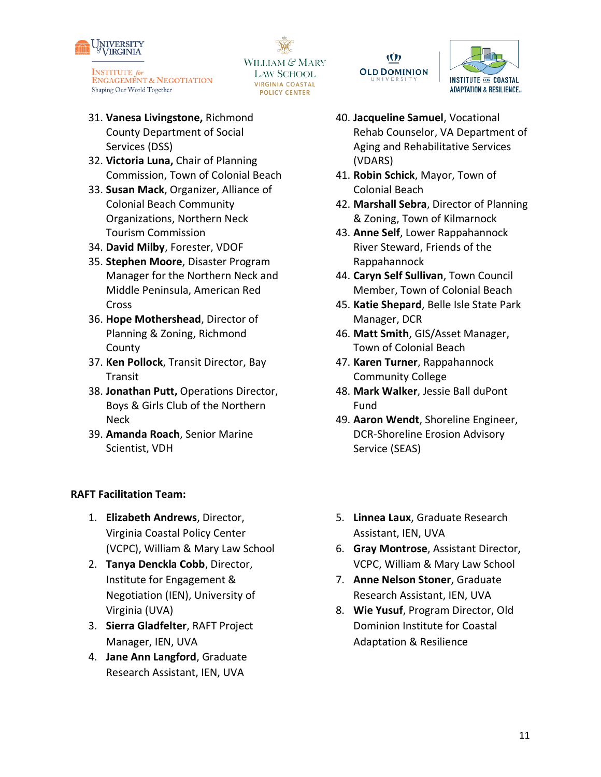

31. **Vanesa Livingstone,** Richmond County Department of Social Services (DSS)

- 32. **Victoria Luna,** Chair of Planning Commission, Town of Colonial Beach
- 33. **Susan Mack**, Organizer, Alliance of Colonial Beach Community Organizations, Northern Neck Tourism Commission
- 34. **David Milby**, Forester, VDOF
- 35. **Stephen Moore**, Disaster Program Manager for the Northern Neck and Middle Peninsula, American Red Cross
- 36. **Hope Mothershead**, Director of Planning & Zoning, Richmond County
- 37. **Ken Pollock**, Transit Director, Bay Transit
- 38. **Jonathan Putt,** Operations Director, Boys & Girls Club of the Northern Neck
- 39. **Amanda Roach**, Senior Marine Scientist, VDH

#### **RAFT Facilitation Team:**

- 1. **Elizabeth Andrews**, Director, Virginia Coastal Policy Center (VCPC), William & Mary Law School
- 2. **Tanya Denckla Cobb**, Director, Institute for Engagement & Negotiation (IEN), University of Virginia (UVA)
- 3. **Sierra Gladfelter**, RAFT Project Manager, IEN, UVA
- 4. **Jane Ann Langford**, Graduate Research Assistant, IEN, UVA

**OLD DOMINION LAW SCHOOL VIRGINIA COASTAL** 

WILLIAM & MARY

**POLICY CENTER** 

Ŵ



- 40. **Jacqueline Samuel**, Vocational Rehab Counselor, VA Department of Aging and Rehabilitative Services (VDARS)
- 41. **Robin Schick**, Mayor, Town of Colonial Beach
- 42. **Marshall Sebra**, Director of Planning & Zoning, Town of Kilmarnock
- 43. **Anne Self**, Lower Rappahannock River Steward, Friends of the Rappahannock
- 44. **Caryn Self Sullivan**, Town Council Member, Town of Colonial Beach
- 45. **Katie Shepard**, Belle Isle State Park Manager, DCR
- 46. **Matt Smith**, GIS/Asset Manager, Town of Colonial Beach
- 47. **Karen Turner**, Rappahannock Community College
- 48. **Mark Walker**, Jessie Ball duPont Fund
- 49. **Aaron Wendt**, Shoreline Engineer, DCR-Shoreline Erosion Advisory Service (SEAS)
- 5. **Linnea Laux**, Graduate Research Assistant, IEN, UVA
- 6. **Gray Montrose**, Assistant Director, VCPC, William & Mary Law School
- 7. **Anne Nelson Stoner**, Graduate Research Assistant, IEN, UVA
- 8. **Wie Yusuf**, Program Director, Old Dominion Institute for Coastal Adaptation & Resilience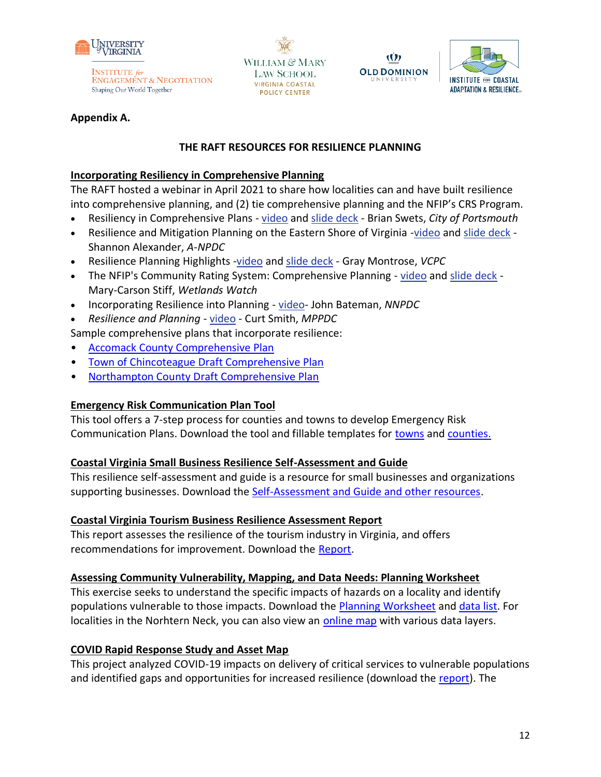

WILLIAM & MARY **LAW SCHOOL VIRGINIA COASTAL POLICY CENTER** 





#### **Appendix A.**

#### **THE RAFT RESOURCES FOR RESILIENCE PLANNING**

### **Incorporating Resiliency in Comprehensive Planning**

The RAFT hosted a webinar in April 2021 to share how localities can and have built resilience into comprehensive planning, and (2) tie comprehensive planning and the NFIP's CRS Program.

- Resiliency in Comprehensive Plans [video](http://www.youtube.com/watch?v=gkV1yLYcq4w&list=PLX1zjRLo43yq6L4DU8J2nuyi2jv4x-wNm&index=5) and [slide deck](https://raft.ien.virginia.edu/system/files/Portsmouth_Comp_Plan_Workshop_23%20Apr%202021.pdf) Brian Swets, *City of Portsmouth*
- Resilience and Mitigation Planning on the Eastern Shore of Virginia [-video](http://www.youtube.com/watch?v=ejTmCm0DTTA&list=PLX1zjRLo43yq6L4DU8J2nuyi2jv4x-wNm&index=4) and [slide deck](https://raft.ien.virginia.edu/system/files/Eastern_Shore_Comp_Plan_Workshop_23%20Apr%202021.pdf) Shannon Alexander, *A-NPDC*
- Resilience Planning Highlights [-video](http://www.youtube.com/watch?v=AOhL_wXRXfw&list=PLX1zjRLo43yq6L4DU8J2nuyi2jv4x-wNm&index=7) and [slide deck](https://raft.ien.virginia.edu/system/files/The_RAFT_Comp_Plan_Workshop_23%20Apr%202021.pdf) Gray Montrose, *VCPC*
- The NFIP's Community Rating System: Comprehensive Planning [video](http://www.youtube.com/watch?v=Tkz2sQ7SnJA&list=PLX1zjRLo43yq6L4DU8J2nuyi2jv4x-wNm&index=6) and [slide deck](https://raft.ien.virginia.edu/system/files/Wetlands_Watch_Comp_Plan_Workshop_23%20Apr%202021.pdf) Mary-Carson Stiff, *Wetlands Watch*
- Incorporating Resilience into Planning video- John Bateman, *NNPDC*
- *Resilience and Planning*  [video](https://youtu.be/4wRGKo01FX4) Curt Smith, *MPPDC*

Sample comprehensive plans that incorporate resilience:

- [Accomack County Comprehensive Plan](https://www.co.accomack.va.us/Home/ShowDocument?id=10669)
- [Town of Chincoteague Draft Comprehensive Plan](https://chincoteague-va.gov/wp-content/uploads/2020/01/2020-Comprehensive-Plan-Full-Document-revph.pdf)
- [Northampton County Draft Comprehensive Plan](https://www.co.northampton.va.us/UserFiles/Servers/Server_14877142/File/Government/Departments_Elected%20Offices/Planning,%20Permiting%20&%20Enforcement/Comp%20Plan%202019/YourNorthampton2040_PublicHearingDraft_May4_21.pdf)

# **Emergency Risk Communication Plan Tool**

This tool offers a 7-step process for counties and towns to develop Emergency Risk Communication Plans. Download the tool and fillable templates for [towns](https://raft.ien.virginia.edu/system/files/Town%20ERC%20Planning.pdf) and [counties.](https://raft.ien.virginia.edu/system/files/County%20ERC%20Planning%20%281%29.pdf)

#### **Coastal Virginia Small Business Resilience Self-Assessment and Guide**

This resilience self-assessment and guide is a resource for small businesses and organizations supporting businesses. Download the [Self-Assessment and Guide and other resources.](https://www.floodingresiliency.org/coastal-virginia-small-business-resilience-self-assessment-and-guide/)

# **Coastal Virginia Tourism Business Resilience Assessment Report**

This report assesses the resilience of the tourism industry in Virginia, and offers recommendations for improvement. Download the [Report.](https://www.floodingresiliency.org/wp-content/uploads/2017/12/CCRFR-BrandedReport-Tourism-Report-FINAL.pdf)

#### **Assessing Community Vulnerability, Mapping, and Data Needs: Planning Worksheet**

This exercise seeks to understand the specific impacts of hazards on a locality and identify populations vulnerable to those impacts. Download the [Planning Worksheet](https://raft.ien.virginia.edu/system/files/Exercise%20Contextualizing%20Natural%20Hazards%20and%20Impacts%20on%20Vulnerable%20Populations_Final.pdf) an[d data list.](https://docs.google.com/document/d/1PNa9LkfzoTtKZncgwV9Q25bHo5q0Xf_rgs5BGJZidwY/edit) For localities in the Norhtern Neck, you can also view an [online map](https://uvalibrary.maps.arcgis.com/apps/View/index.html?appid=198aa46fa25a4997b80fe963dfa100c8) with various data layers.

# **COVID Rapid Response Study and Asset Map**

This project analyzed COVID-19 impacts on delivery of critical services to vulnerable populations and identified gaps and opportunities for increased resilience (download the [report\)](https://raft.ien.virginia.edu/system/files/The%20Impacts%20of%20COVID-19%20on%20Service%20Delivery%20in%20the%20Northern%20Neck_%20Barriers%2C%20Lessons%2C%20and%20Opportunities%20for%20Increased%20Resilience_August%202021.pdf). The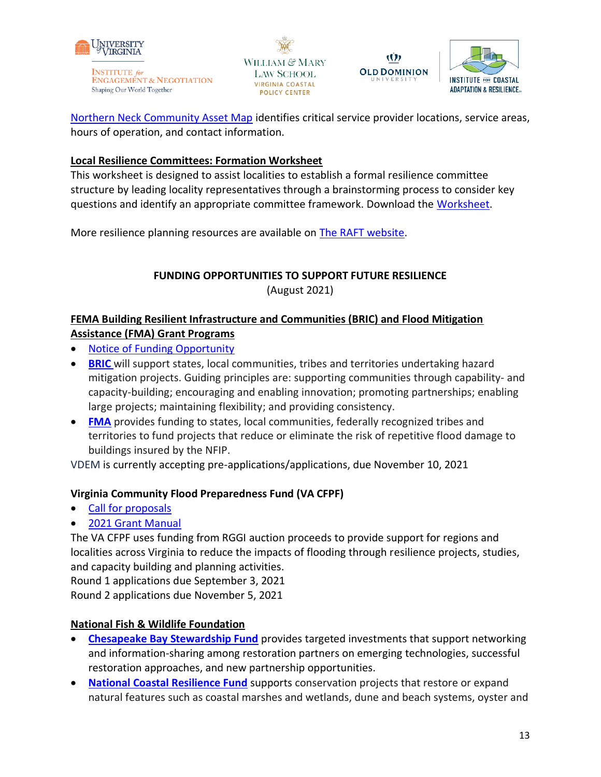

WILLIAM & MARY **LAW SCHOOL VIRGINIA COASTAL POLICY CENTER** 





[Northern Neck Community Asset Map](https://www.google.com/maps/d/u/0/edit?mid=1bWAgIdMWQ_Q6HBg_HeJ1Kc4EoNzild56&usp=sharing) identifies critical service provider locations, service areas, hours of operation, and contact information.

# **Local Resilience Committees: Formation Worksheet**

This worksheet is designed to assist localities to establish a formal resilience committee structure by leading locality representatives through a brainstorming process to consider key questions and identify an appropriate committee framework. Download the [Worksheet.](https://raft.ien.virginia.edu/system/files/Resilience%20Committee%20Brainstorming%20Worksheet_FINAL.pdf)

More resilience planning resources are available on [The RAFT website.](https://raft.ien.virginia.edu/raft-resilience-research-policy-products)

# **FUNDING OPPORTUNITIES TO SUPPORT FUTURE RESILIENCE** (August 2021)

# **FEMA Building Resilient Infrastructure and Communities (BRIC) and Flood Mitigation Assistance (FMA) Grant Programs**

- [Notice of Funding Opportunity](https://www.fema.gov/grants/mitigation/fy2021-nofo)
- **[BRIC](https://www.fema.gov/grants/mitigation/building-resilient-infrastructure-communities)** will support states, local communities, tribes and territories undertaking hazard mitigation projects. Guiding principles are: supporting communities through capability- and capacity-building; encouraging and enabling innovation; promoting partnerships; enabling large projects; maintaining flexibility; and providing consistency.
- **[FMA](https://www.fema.gov/grants/mitigation/floods)** provides funding to states, local communities, federally recognized tribes and territories to fund projects that reduce or eliminate the risk of repetitive flood damage to buildings insured by the NFIP.

VDEM is currently accepting pre-applications/applications, due November 10, 2021

# **Virginia Community Flood Preparedness Fund (VA CFPF)**

- [Call for proposals](https://www.dcr.virginia.gov/dam-safety-and-floodplains/dsfpm-cfpf)
- [2021 Grant Manual](https://www.dcr.virginia.gov/dam-safety-and-floodplains/document/2021-CFPF-Manual.pdf)

The VA CFPF uses funding from RGGI auction proceeds to provide support for regions and localities across Virginia to reduce the impacts of flooding through resilience projects, studies, and capacity building and planning activities.

Round 1 applications due September 3, 2021

Round 2 applications due November 5, 2021

# **National Fish & Wildlife Foundation**

- **[Chesapeake Bay Stewardship Fund](https://www.nfwf.org/programs/chesapeake-bay-stewardship-fund)** provides targeted investments that support networking and information-sharing among restoration partners on emerging technologies, successful restoration approaches, and new partnership opportunities.
- **[National Coastal Resilience Fund](https://www.nfwf.org/programs/national-coastal-resilience-fund)** supports conservation projects that restore or expand natural features such as coastal marshes and wetlands, dune and beach systems, oyster and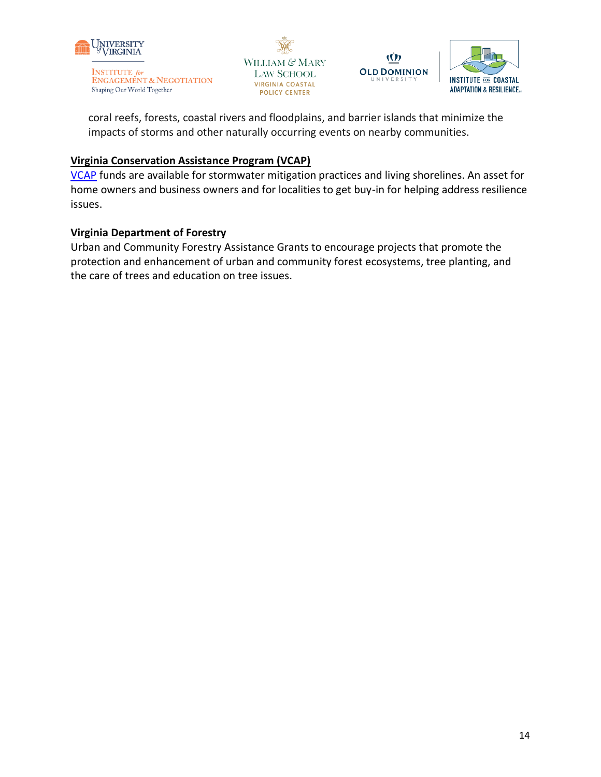







coral reefs, forests, coastal rivers and floodplains, and barrier islands that minimize the impacts of storms and other naturally occurring events on nearby communities.

# **Virginia Conservation Assistance Program (VCAP)**

[VCAP](https://vaswcd.org/vcap) funds are available for stormwater mitigation practices and living shorelines. An asset for home owners and business owners and for localities to get buy-in for helping address resilience issues.

### **Virginia Department of Forestry**

Urban and Community Forestry Assistance Grants to encourage projects that promote the protection and enhancement of urban and community forest ecosystems, tree planting, and the care of trees and education on tree issues.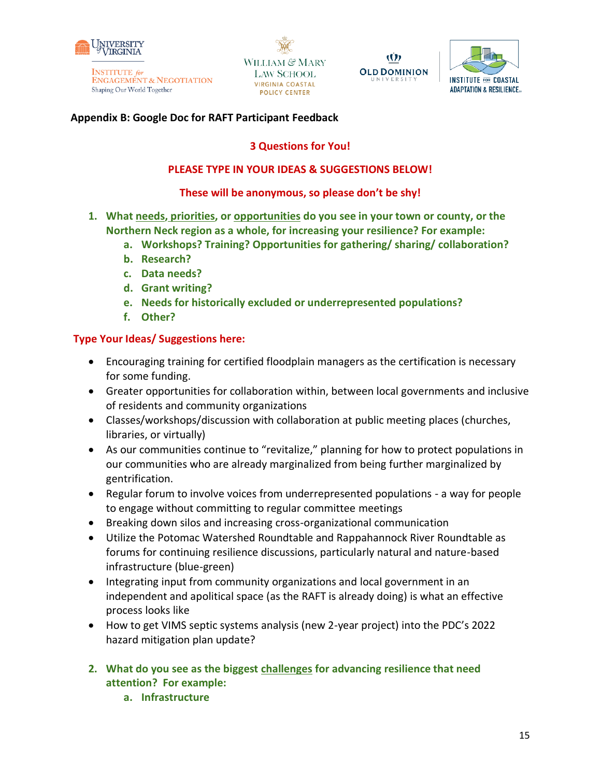

WILLIAM & MARY **LAW SCHOOL VIRGINIA COASTAL POLICY CENTER** 





#### **Appendix B: Google Doc for RAFT Participant Feedback**

#### **3 Questions for You!**

#### **PLEASE TYPE IN YOUR IDEAS & SUGGESTIONS BELOW!**

#### **These will be anonymous, so please don't be shy!**

- **1. What needs, priorities, or opportunities do you see in your town or county, or the Northern Neck region as a whole, for increasing your resilience? For example:**
	- **a. Workshops? Training? Opportunities for gathering/ sharing/ collaboration?**
	- **b. Research?**
	- **c. Data needs?**
	- **d. Grant writing?**
	- **e. Needs for historically excluded or underrepresented populations?**
	- **f. Other?**

#### **Type Your Ideas/ Suggestions here:**

- Encouraging training for certified floodplain managers as the certification is necessary for some funding.
- Greater opportunities for collaboration within, between local governments and inclusive of residents and community organizations
- Classes/workshops/discussion with collaboration at public meeting places (churches, libraries, or virtually)
- As our communities continue to "revitalize," planning for how to protect populations in our communities who are already marginalized from being further marginalized by gentrification.
- Regular forum to involve voices from underrepresented populations a way for people to engage without committing to regular committee meetings
- Breaking down silos and increasing cross-organizational communication
- Utilize the Potomac Watershed Roundtable and Rappahannock River Roundtable as forums for continuing resilience discussions, particularly natural and nature-based infrastructure (blue-green)
- Integrating input from community organizations and local government in an independent and apolitical space (as the RAFT is already doing) is what an effective process looks like
- How to get VIMS septic systems analysis (new 2-year project) into the PDC's 2022 hazard mitigation plan update?
- **2. What do you see as the biggest challenges for advancing resilience that need attention? For example:**
	- **a. Infrastructure**